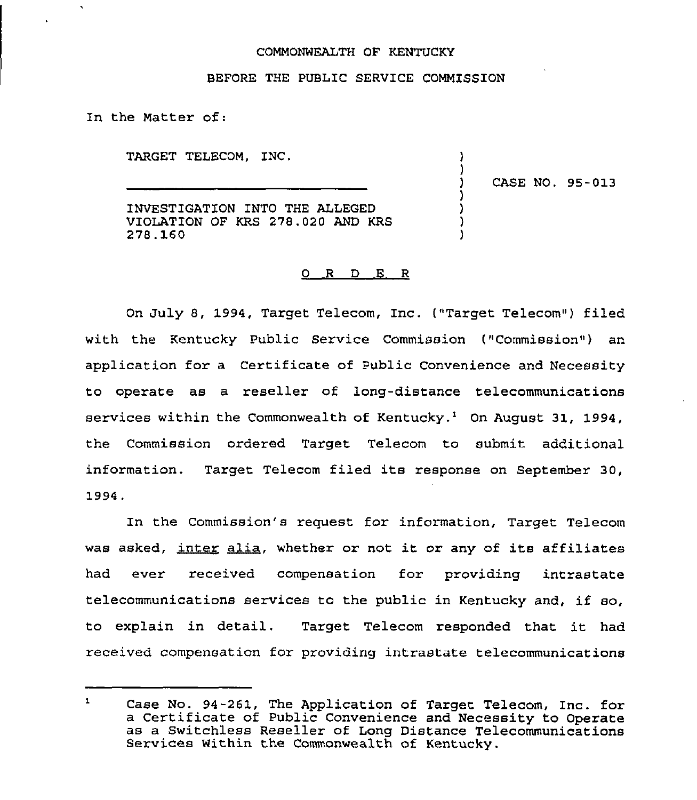#### COMMONWEALTH OF KENTUCKY

#### BEFORE THE PUBLIC SERVICE COMMISSION

In the Matter of:

TARGET TELECOM, INC.

) CASE NO. 95-013

)

)

) ) ) )

INVESTIGATION INTO THE ALLEGED VIOLATION OF KRS 278.020 AND KRS 278. 160

#### 0 R D E R

On July 8, 1994, Target Telecom, Inc. ("Target Telecom") filed with the Kentucky Public Service Commission ("Commission") an application for a Certificate of Public Convenience and Necessity to operate as a reseller of long-distance telecommunications services within the Commonwealth of Kentucky.<sup>1</sup> On August 31, 1994, the Commission ordered Target Telecom to submit additional information. Target Telecom filed its response on September 30, 1994.

In the Commission's request for information, Target Telecom was asked, inter alia, whether or not it or any of its affiliates had ever received compensation for providing intrastate telecommunications services to the public in Kentucky and, if so, to explain in detail. Target Telecom responded that it had received compensation for providing intrastate telecommunications

 $\mathbf{1}$ Case No. 94-261, The Application of Target Telecom, Inc. for a Certificate of Public Convenience and Necessity to Operate as <sup>a</sup> Switchless Reseller of Long Distance Telecommunications Services within the Commonwealth of Kentucky.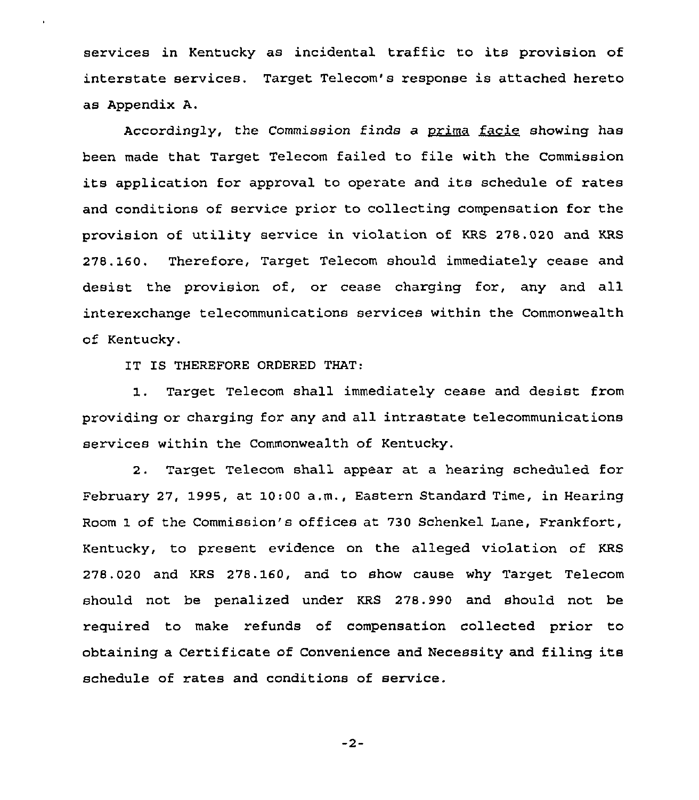services in Kentucky as incidental traffic to its provision of interstate services. Target Telecom's response is attached hereto as Appendix A. is att<br><u>facie</u><br>\*b \*b

Accordingly, the Commission finds a <u>prim</u>a showing has been made that Target Telecom failed to file with the Commission its application for approval to operate and its schedule of rates and conditions of service prior to collecting compensation for the provision of utility service in violation of KRS 278.020 and KRS 278. 160. Therefore, Target Telecom should immediately cease and desist the provision of, or cease charging for, any and all interexchange telecommunications services within the Commonwealth of Kentucky.

IT IS THEREFORE ORDERED THAT:

1 . Target Telecom shall immediately cease and desist from providing or charging for any and all intrastate telecommunications services within the Commonwealth of Kentucky.

2. Target Telecom shall appear at a hearing scheduled for February 27, 1995, at 10:00 a.m., Eastern Standard Time, in Hearing Room 1 of the Commission's offices at 730 Schenkel Lane, Frankfort, Kentucky, to present evidence on the alleged violation of KRS 278.020 and KRS 278.160, and to show cause why Target Telecom should not be penalized under KRS 278.990 and should not be required to make refunds of compensation collected prior to obtaining a Certificate of Convenience and Necessity and filing its schedule of rates and conditions of service.

 $-2-$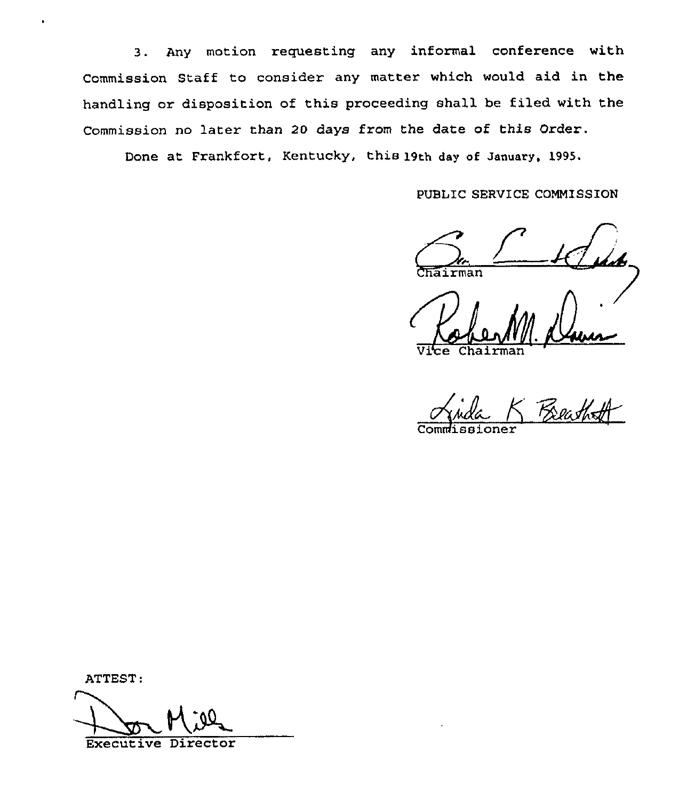3. Any motion requesting any informal conference with Commission Staff to consider any matter which would aid in the handling or disposition of this proceeding shall he filed with the Commission no later than 20 days from the date of this Order.

Done at Frankfort, Kentucky, this 19th day of January, 1995.

PUBLIC SERVICE COMMISSION

Chairman

Vice Chairma

Commissioner

ATTEST:

Executive Director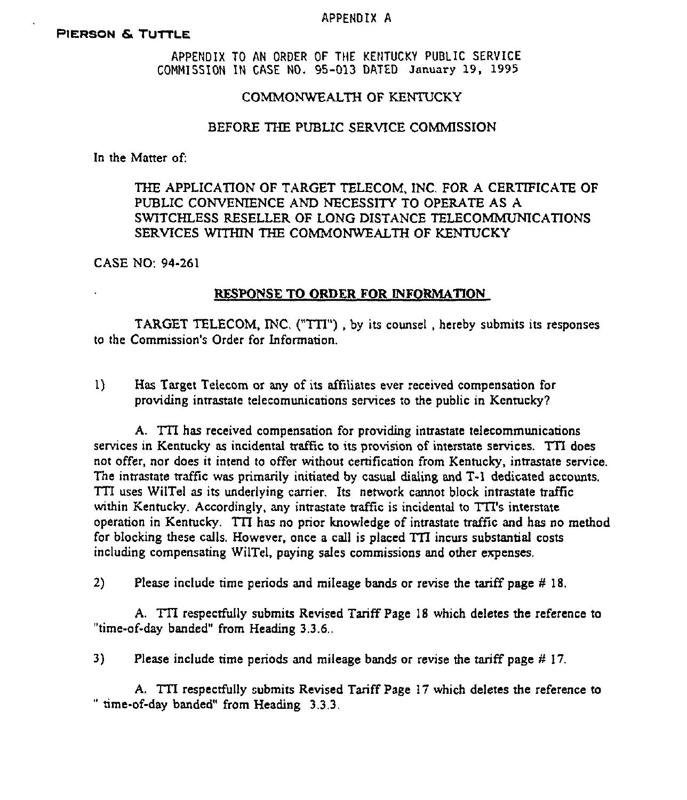#### APPENDIX A

#### PIERSON & TUTTLE

APPENDIX TO AN ORDER OF TME KENTUCKY PUBLIC SERVICE COMMISSION IN CASE NO. 95-013 DATED January 19, 1995

#### COMMONWEALTH OF KENTUCKY

#### BEFORE THE PUBLIC SERVICE COMMISSION

In the Matter of:

# THE APPLICATION OF TARGET TELECOM, INC. FOR A CERTIFICATE OF PUBLIC CONVENIENCE AND NECESSITY TO OPERATE AS A SWITCHLESS RESELLER OF LONG DISTANCE TELECOMMUMCATIONS SERVICES WITHIN THE COMMONWEALTH OF KENTUCKY

CASE NO: 94-261

#### RESPONSE TO ORDER FOR INFORMATION

TARGET TELECOM, INC, ("TIT'), by its counsel, hereby submits its responses to the Commission's Order for Information.

I) Has Target Telecom or any of its affiliates ever received compensation for providing intrastate telecomunications services to the public in Kentucky?

A. TTI has received compensation for providing intrastate telecommunications services in Kentucky as incidental traffic to its provision of interstate services. TTI does not oFFer, nor does it intend to offer without certification from Kentucky, intrastate service. The intrastate traffic was primarily initiated by casual dialing and T-I dedicated accounts. TTI uses WilTel as its underlying carrier. Its network cannot block intrastate traffic within Kentucky. Accordingly, any intrastate traffic is incidental to TTI's interstate operation in Kentucky. TTI has no prior knowledge of intrastate traffic and has no method for blocking these calls. However, once a call is placed TZI incurs substantial costs including compensating WilTel, paying sales commissions and other expenses.

2) Please include time periods and mileage bands or revise the tariff page  $\#$  18.

A. TII respectfully submits Revised Tariff Page 18 which deletes the reference to "time-of-day banded" from Heading 3.3.6.,

3) Please include time periods and mileage bands or revise the tariff page  $\#$  17.

A. TTI respectfully submits Revised Tariff Page <sup>17</sup> which deletes the reference to " " time-of-day banded" from Heading 3.3.3.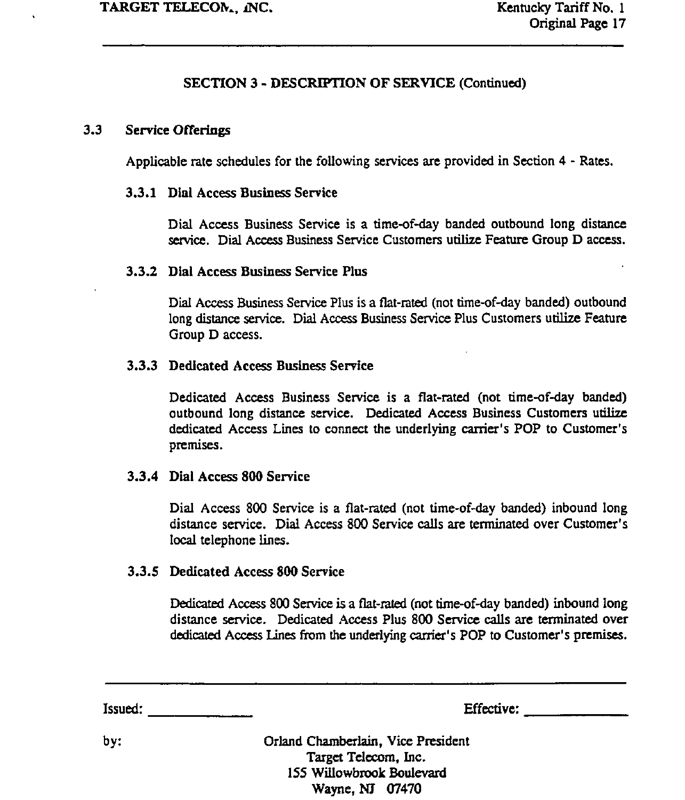# SECTION 3 - DESCRIFrION OF SERVICE (Continued)

### 3.3 Service Offerings

Applicable rate schedules for the following services are provided in Section 4 - Rates.

### 3.3.1 Dial Access Business Service

Dial Access Business Service is a time-of-day banded outbound long distance service. Dial Access Business Service Customers utilize Feature Group D access.

### 3.3.2 Dial Access Business Service Plus

Dial Access Business Service Plus is a flat-rated (not time-of-day banded) outbound long distance service. Dial Access Business Service Plus Customers utilize Feature Group D access.

### 3.3.3 Dedicated Access Business Service

Dedicated Access Business Service is a flat-rated (not time-of-day banded) outbound long distance service. Dedicated Access Business Customers utilize dedicated Access Lines to connect the underlying carrier's POP to Customer's premises.

### 3.3.4 Dial Access 800 Service

Dial Access 800 Service is a flat-rated (not time-of-day banded) inbound long distance service. Dial Access 800 Service calls are terminated over Customer' local telephone lines.

### 3.3.5 Dedicated Access 800 Service

Dedicated Access 800 Service is a flat-rated (not time-of-day banded) inbound long distance service. Dedicated Access Plus 800 Service calls are terminated over dedicated Access Lines from the underlying earner's POP to Customer's premises.

Issued: Effective:

by: Orland Chamberlain, Vice President Target Telecom, Inc. 155 Willowbrook Boulevard Wayne, NJ 07470